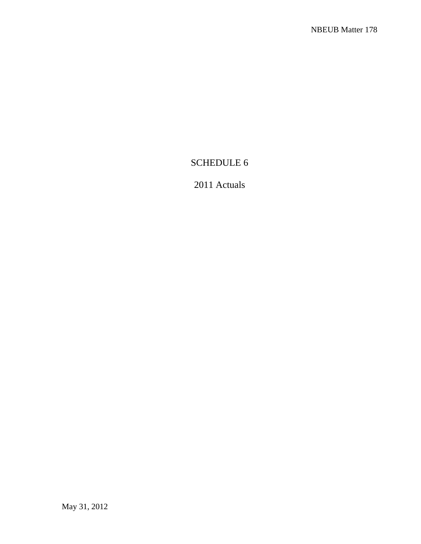# SCHEDULE 6

# 2011 Actuals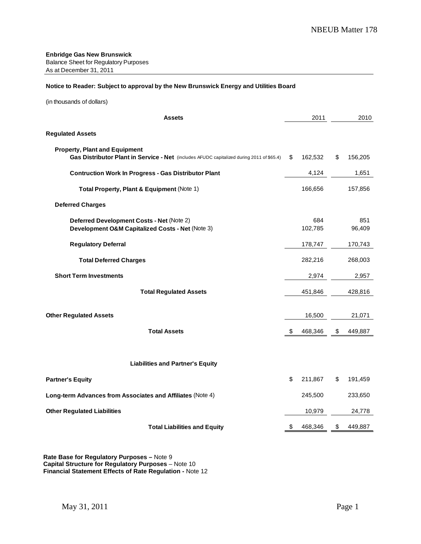#### **Notice to Reader: Subject to approval by the New Brunswick Energy and Utilities Board**

| (in thousands of dollars) |
|---------------------------|
|---------------------------|

| <b>Assets</b>                                                                                                                     | 2011           | 2010          |
|-----------------------------------------------------------------------------------------------------------------------------------|----------------|---------------|
| <b>Regulated Assets</b>                                                                                                           |                |               |
| <b>Property, Plant and Equipment</b><br>Gas Distributor Plant in Service - Net (includes AFUDC capitalized during 2011 of \$65.4) | \$<br>162,532  | \$<br>156,205 |
| <b>Contruction Work In Progress - Gas Distributor Plant</b>                                                                       | 4,124          | 1,651         |
| Total Property, Plant & Equipment (Note 1)                                                                                        | 166,656        | 157,856       |
| <b>Deferred Charges</b>                                                                                                           |                |               |
| Deferred Development Costs - Net (Note 2)<br>Development O&M Capitalized Costs - Net (Note 3)                                     | 684<br>102,785 | 851<br>96,409 |
| <b>Regulatory Deferral</b>                                                                                                        | 178,747        | 170,743       |
| <b>Total Deferred Charges</b>                                                                                                     | 282,216        | 268,003       |
| <b>Short Term Investments</b>                                                                                                     | 2,974          | 2,957         |
| <b>Total Regulated Assets</b>                                                                                                     | 451,846        | 428,816       |
| <b>Other Regulated Assets</b>                                                                                                     | 16,500         | 21,071        |
| <b>Total Assets</b>                                                                                                               | \$<br>468,346  | \$<br>449,887 |
| <b>Liabilities and Partner's Equity</b>                                                                                           |                |               |
| <b>Partner's Equity</b>                                                                                                           | \$<br>211,867  | \$<br>191,459 |
| Long-term Advances from Associates and Affiliates (Note 4)                                                                        | 245,500        | 233,650       |
| <b>Other Regulated Liabilities</b>                                                                                                | 10,979         | 24,778        |
| <b>Total Liabilities and Equity</b>                                                                                               | \$<br>468,346  | \$<br>449,887 |

**Rate Base for Regulatory Purposes –** Note 9 **Capital Structure for Regulatory Purposes** – Note 10 **Financial Statement Effects of Rate Regulation -** Note 12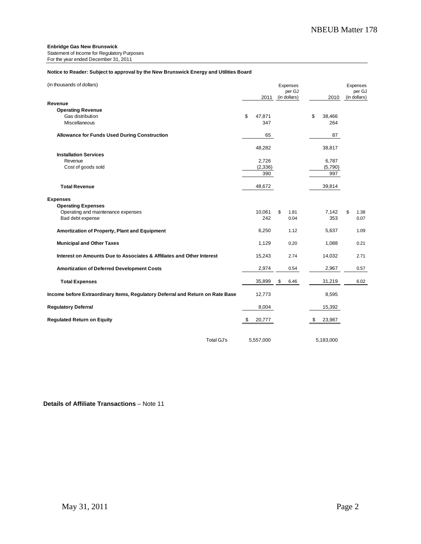Statement of Income for Regulatory Purposes For the year ended December 31, 2011

#### **Notice to Reader: Subject to approval by the New Brunswick Energy and Utilities Board**

| (in thousands of dollars)                                                                              | 2011                              | Expenses<br>per GJ<br>(in dollars) |    | 2010                              | Expenses<br>per GJ<br>(in dollars) |
|--------------------------------------------------------------------------------------------------------|-----------------------------------|------------------------------------|----|-----------------------------------|------------------------------------|
| Revenue<br><b>Operating Revenue</b><br>Gas distribution<br>Miscellaneous                               | \$<br>47,871<br>347               |                                    | \$ | 38,466<br>264                     |                                    |
| <b>Allowance for Funds Used During Construction</b>                                                    | 65                                |                                    |    | 87                                |                                    |
| <b>Installation Services</b><br>Revenue<br>Cost of goods sold                                          | 48,282<br>2,726<br>(2,336)<br>390 |                                    |    | 38,817<br>6,787<br>(5,790)<br>997 |                                    |
| <b>Total Revenue</b>                                                                                   | 48,672                            |                                    |    | 39,814                            |                                    |
| <b>Expenses</b><br><b>Operating Expenses</b><br>Operating and maintenance expenses<br>Bad debt expense | 10,061<br>242                     | \$<br>1.81<br>0.04                 |    | 7,142<br>353                      | \$<br>1.38<br>0.07                 |
| Amortization of Property, Plant and Equipment                                                          | 6,250                             | 1.12                               |    | 5,637                             | 1.09                               |
| <b>Municipal and Other Taxes</b>                                                                       | 1,129                             | 0.20                               |    | 1,088                             | 0.21                               |
| Interest on Amounts Due to Associates & Affiliates and Other Interest                                  | 15,243                            | 2.74                               |    | 14,032                            | 2.71                               |
| <b>Amortization of Deferred Development Costs</b>                                                      | 2,974                             | 0.54                               |    | 2,967                             | 0.57                               |
| <b>Total Expenses</b>                                                                                  | 35,899                            | \$<br>6.46                         |    | 31,219                            | 6.02                               |
| Income before Extraordinary Items, Regulatory Deferral and Return on Rate Base                         | 12,773                            |                                    |    | 8,595                             |                                    |
| <b>Regulatory Deferral</b>                                                                             | 8,004                             |                                    |    | 15,392                            |                                    |
| <b>Regulated Return on Equity</b>                                                                      | \$<br>20,777                      |                                    | S  | 23,987                            |                                    |
| <b>Total GJ's</b>                                                                                      | 5,557,000                         |                                    |    | 5,183,000                         |                                    |

#### **Details of Affiliate Transactions** – Note 11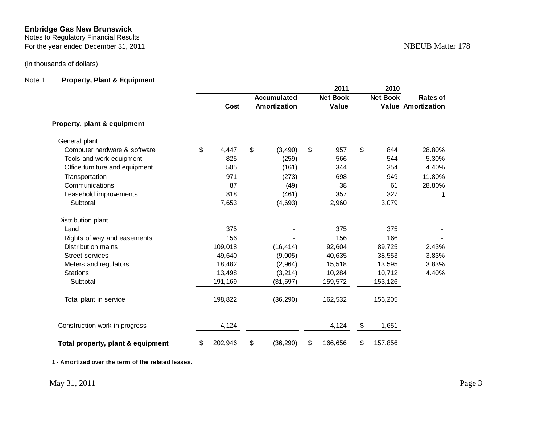#### Notes to Regulatory Financial Results

For the year ended December 31, 2011 and the state of the SNBEUB Matter 178

# (in thousands of dollars)

# Note 1 **Property, Plant & Equipment**

|                                   |               |                                           | 2011                     | 2010            |                                              |
|-----------------------------------|---------------|-------------------------------------------|--------------------------|-----------------|----------------------------------------------|
|                                   | Cost          | <b>Accumulated</b><br><b>Amortization</b> | <b>Net Book</b><br>Value | <b>Net Book</b> | <b>Rates of</b><br><b>Value Amortization</b> |
| Property, plant & equipment       |               |                                           |                          |                 |                                              |
| General plant                     |               |                                           |                          |                 |                                              |
| Computer hardware & software      | \$<br>4,447   | \$<br>(3, 490)                            | \$<br>957                | \$<br>844       | 28.80%                                       |
| Tools and work equipment          | 825           | (259)                                     | 566                      | 544             | 5.30%                                        |
| Office furniture and equipment    | 505           | (161)                                     | 344                      | 354             | 4.40%                                        |
| Transportation                    | 971           | (273)                                     | 698                      | 949             | 11.80%                                       |
| Communications                    | 87            | (49)                                      | 38                       | 61              | 28.80%                                       |
| Leasehold improvements            | 818           | (461)                                     | 357                      | 327             | 1                                            |
| Subtotal                          | 7,653         | (4, 693)                                  | 2,960                    | 3,079           |                                              |
| Distribution plant                |               |                                           |                          |                 |                                              |
| Land                              | 375           |                                           | 375                      | 375             |                                              |
| Rights of way and easements       | 156           |                                           | 156                      | 166             |                                              |
| Distribution mains                | 109,018       | (16, 414)                                 | 92,604                   | 89,725          | 2.43%                                        |
| <b>Street services</b>            | 49,640        | (9,005)                                   | 40,635                   | 38,553          | 3.83%                                        |
| Meters and regulators             | 18,482        | (2,964)                                   | 15,518                   | 13,595          | 3.83%                                        |
| <b>Stations</b>                   | 13,498        | (3, 214)                                  | 10,284                   | 10,712          | 4.40%                                        |
| Subtotal                          | 191,169       | (31, 597)                                 | 159,572                  | 153,126         |                                              |
| Total plant in service            | 198,822       | (36, 290)                                 | 162,532                  | 156,205         |                                              |
| Construction work in progress     | 4,124         |                                           | 4,124                    | \$<br>1,651     |                                              |
| Total property, plant & equipment | \$<br>202,946 | \$<br>(36, 290)                           | \$<br>166,656            | \$<br>157,856   |                                              |

**1 - Amortized over the term of the related leases.**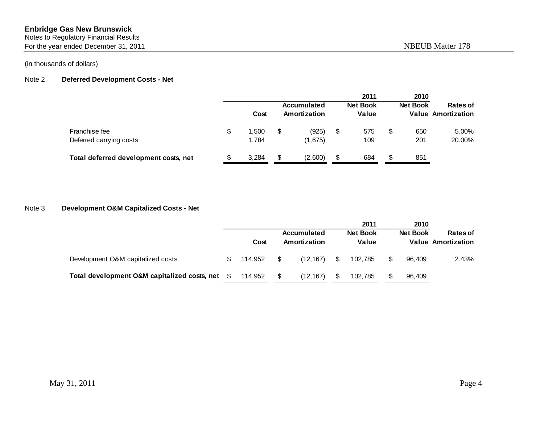Notes to Regulatory Financial Results

For the year ended December 31, 2011 and the state of the state of the NBEUB Matter 178

(in thousands of dollars)

#### Note 2 **Deferred Development Costs - Net**

|                                       |   |       |                             |     | 2011                     |   | 2010            |                                              |
|---------------------------------------|---|-------|-----------------------------|-----|--------------------------|---|-----------------|----------------------------------------------|
|                                       |   | Cost  | Accumulated<br>Amortization |     | <b>Net Book</b><br>Value |   | <b>Net Book</b> | <b>Rates of</b><br><b>Value Amortization</b> |
| Franchise fee                         | S | 1,500 | \$<br>(925)                 | \$  | 575                      | S | 650             | 5.00%                                        |
| Deferred carrying costs               |   | 1,784 | (1,675)                     |     | 109                      |   | 201             | 20.00%                                       |
| Total deferred development costs, net |   | 3.284 | (2,600)                     | \$. | 684                      |   | 851             |                                              |

# Note 3 **Development O&M Capitalized Costs - Net**

|                                              |   | Cost    | Accumulated<br>Amortization | 2011<br><b>Net Book</b><br>Value | 2010<br><b>Net Book</b> | Rates of<br><b>Value Amortization</b> |
|----------------------------------------------|---|---------|-----------------------------|----------------------------------|-------------------------|---------------------------------------|
| Development O&M capitalized costs            |   | 114.952 | (12.167)                    | 102.785                          | 96.409                  | 2.43%                                 |
| Total development O&M capitalized costs, net | S | 114.952 | (12, 167)                   | 102.785                          | 96.409                  |                                       |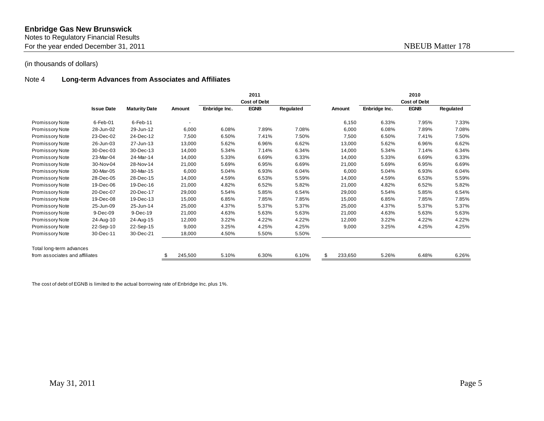Notes to Regulatory Financial Results

For the year ended December 31, 2011 and the state of the state of the NBEUB Matter 178

## (in thousands of dollars)

#### Note 4 **Long-term Advances from Associates and Affiliates**

|                                |                   |                      |         |               | 2011                |           |         |               | 2010                |           |
|--------------------------------|-------------------|----------------------|---------|---------------|---------------------|-----------|---------|---------------|---------------------|-----------|
|                                |                   |                      |         |               | <b>Cost of Debt</b> |           |         |               | <b>Cost of Debt</b> |           |
|                                | <b>Issue Date</b> | <b>Maturity Date</b> | Amount  | Enbridge Inc. | <b>EGNB</b>         | Regulated | Amount  | Enbridge Inc. | <b>EGNB</b>         | Regulated |
| Promissory Note                | $6$ -Feb-01       | $6$ -Feb-11          |         |               |                     |           | 6,150   | 6.33%         | 7.95%               | 7.33%     |
| <b>Promissory Note</b>         | 28-Jun-02         | 29-Jun-12            | 6,000   | 6.08%         | 7.89%               | 7.08%     | 6,000   | 6.08%         | 7.89%               | 7.08%     |
| Promissory Note                | 23-Dec-02         | 24-Dec-12            | 7,500   | 6.50%         | 7.41%               | 7.50%     | 7,500   | 6.50%         | 7.41%               | 7.50%     |
| Promissory Note                | 26-Jun-03         | 27-Jun-13            | 13,000  | 5.62%         | 6.96%               | 6.62%     | 13,000  | 5.62%         | 6.96%               | 6.62%     |
| Promissory Note                | 30-Dec-03         | 30-Dec-13            | 14,000  | 5.34%         | 7.14%               | 6.34%     | 14,000  | 5.34%         | 7.14%               | 6.34%     |
| Promissory Note                | 23-Mar-04         | 24-Mar-14            | 14,000  | 5.33%         | 6.69%               | 6.33%     | 14,000  | 5.33%         | 6.69%               | 6.33%     |
| Promissory Note                | 30-Nov-04         | 28-Nov-14            | 21,000  | 5.69%         | 6.95%               | 6.69%     | 21,000  | 5.69%         | 6.95%               | 6.69%     |
| Promissory Note                | 30-Mar-05         | 30-Mar-15            | 6,000   | 5.04%         | 6.93%               | 6.04%     | 6,000   | 5.04%         | 6.93%               | 6.04%     |
| Promissory Note                | 28-Dec-05         | 28-Dec-15            | 14,000  | 4.59%         | 6.53%               | 5.59%     | 14,000  | 4.59%         | 6.53%               | 5.59%     |
| <b>Promissory Note</b>         | 19-Dec-06         | 19-Dec-16            | 21,000  | 4.82%         | 6.52%               | 5.82%     | 21,000  | 4.82%         | 6.52%               | 5.82%     |
| Promissory Note                | 20-Dec-07         | 20-Dec-17            | 29,000  | 5.54%         | 5.85%               | 6.54%     | 29,000  | 5.54%         | 5.85%               | 6.54%     |
| <b>Promissory Note</b>         | 19-Dec-08         | 19-Dec-13            | 15,000  | 6.85%         | 7.85%               | 7.85%     | 15,000  | 6.85%         | 7.85%               | 7.85%     |
| Promissory Note                | 25-Jun-09         | 25-Jun-14            | 25,000  | 4.37%         | 5.37%               | 5.37%     | 25,000  | 4.37%         | 5.37%               | 5.37%     |
| Promissory Note                | 9-Dec-09          | 9-Dec-19             | 21,000  | 4.63%         | 5.63%               | 5.63%     | 21,000  | 4.63%         | 5.63%               | 5.63%     |
| Promissory Note                | 24-Aug-10         | 24-Aug-15            | 12,000  | 3.22%         | 4.22%               | 4.22%     | 12,000  | 3.22%         | 4.22%               | 4.22%     |
| <b>Promissory Note</b>         | 22-Sep-10         | 22-Sep-15            | 9,000   | 3.25%         | 4.25%               | 4.25%     | 9,000   | 3.25%         | 4.25%               | 4.25%     |
| Promissory Note                | 30-Dec-11         | 30-Dec-21            | 18,000  | 4.50%         | 5.50%               | 5.50%     |         |               |                     |           |
| Total long-term advances       |                   |                      |         |               |                     |           |         |               |                     |           |
| from associates and affiliates |                   |                      | 245,500 | 5.10%         | 6.30%               | 6.10%     | 233,650 | 5.26%         | 6.48%               | 6.26%     |

The cost of debt of EGNB is limited to the actual borrowing rate of Enbridge Inc. plus 1%.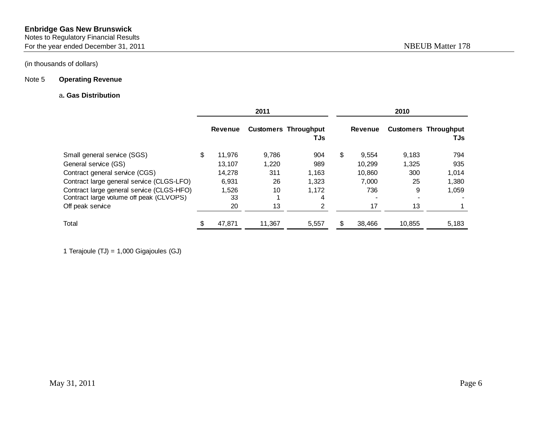Notes to Regulatory Financial Results For the year ended December 31, 2011 and the state of the SNBEUB Matter 178

## (in thousands of dollars)

#### Note 5 **Operating Revenue**

#### a**. Gas Distribution**

|                                           |   |                | 2011   |                                    | 2010        |        |                                    |  |  |
|-------------------------------------------|---|----------------|--------|------------------------------------|-------------|--------|------------------------------------|--|--|
|                                           |   | <b>Revenue</b> |        | <b>Customers Throughput</b><br>TJs | Revenue     |        | <b>Customers Throughput</b><br>TJs |  |  |
| Small general service (SGS)               | S | 11.976         | 9.786  | 904                                | \$<br>9.554 | 9,183  | 794                                |  |  |
| General service (GS)                      |   | 13.107         | 1,220  | 989                                | 10.299      | 1,325  | 935                                |  |  |
| Contract general service (CGS)            |   | 14.278         | 311    | 1.163                              | 10.860      | 300    | 1,014                              |  |  |
| Contract large general service (CLGS-LFO) |   | 6,931          | 26     | 1,323                              | 7,000       | 25     | 1,380                              |  |  |
| Contract large general service (CLGS-HFO) |   | 1,526          | 10     | 1,172                              | 736         | 9      | 1,059                              |  |  |
| Contract large volume off peak (CLVOPS)   |   | 33             |        | 4                                  |             |        |                                    |  |  |
| Off peak service                          |   | 20             | 13     | 2                                  | 17          | 13     |                                    |  |  |
| Total                                     |   | 47.871         | 11,367 | 5,557                              | 38.466      | 10.855 | 5,183                              |  |  |

1 Terajoule (TJ) = 1,000 Gigajoules (GJ)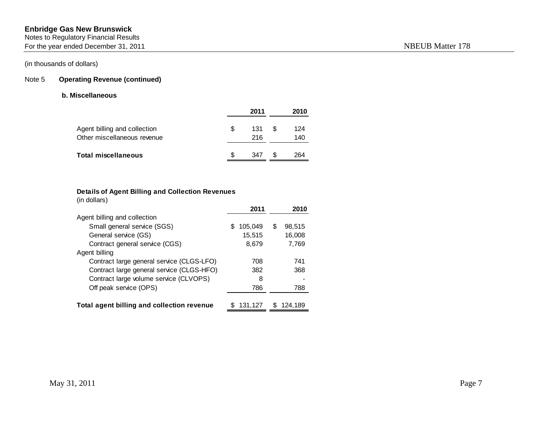Notes to Regulatory Financial Results

For the year ended December 31, 2011 and the state of the state of the NBEUB Matter 178

# (in thousands of dollars)

# Note 5 **Operating Revenue (continued)**

#### **b. Miscellaneous**

|                                                             |   | 2011       |   | 2010       |
|-------------------------------------------------------------|---|------------|---|------------|
| Agent billing and collection<br>Other miscellaneous revenue | S | 131<br>216 | S | 124<br>140 |
| <b>Total miscellaneous</b>                                  | S | 347        | S | 264        |

# **Details of Agent Billing and Collection Revenues**

| (in dollars)                               |               |   |           |
|--------------------------------------------|---------------|---|-----------|
|                                            | 2011          |   | 2010      |
| Agent billing and collection               |               |   |           |
| Small general service (SGS)                | 105,049<br>\$ | S | 98,515    |
| General service (GS)                       | 15,515        |   | 16,008    |
| Contract general service (CGS)             | 8,679         |   | 7.769     |
| Agent billing                              |               |   |           |
| Contract large general service (CLGS-LFO)  | 708           |   | 741       |
| Contract large general service (CLGS-HFO)  | 382           |   | 368       |
| Contract large volume service (CLVOPS)     | 8             |   |           |
| Off peak service (OPS)                     | 786           |   | 788       |
|                                            |               |   |           |
| Total agent billing and collection revenue | 131,127       |   | \$124.189 |
|                                            |               |   |           |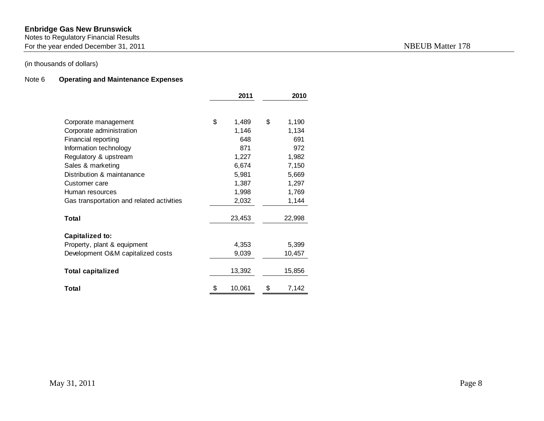#### Notes to Regulatory Financial Results

For the year ended December 31, 2011 and the state of the SNBEUB Matter 178

# (in thousands of dollars)

# Note 6 **Operating and Maintenance Expenses**

|                                           | 2011         | 2010        |
|-------------------------------------------|--------------|-------------|
|                                           |              |             |
| Corporate management                      | \$<br>1,489  | \$<br>1,190 |
| Corporate administration                  | 1,146        | 1,134       |
| Financial reporting                       | 648          | 691         |
| Information technology                    | 871          | 972         |
| Regulatory & upstream                     | 1,227        | 1,982       |
| Sales & marketing                         | 6,674        | 7,150       |
| Distribution & maintanance                | 5,981        | 5,669       |
| Customer care                             | 1,387        | 1,297       |
| Human resources                           | 1,998        | 1,769       |
| Gas transportation and related activities | 2,032        | 1,144       |
| Total                                     | 23,453       | 22,998      |
|                                           |              |             |
| <b>Capitalized to:</b>                    |              |             |
| Property, plant & equipment               | 4,353        | 5,399       |
| Development O&M capitalized costs         | 9,039        | 10,457      |
| <b>Total capitalized</b>                  | 13,392       | 15,856      |
|                                           |              |             |
| Total                                     | \$<br>10,061 | \$<br>7,142 |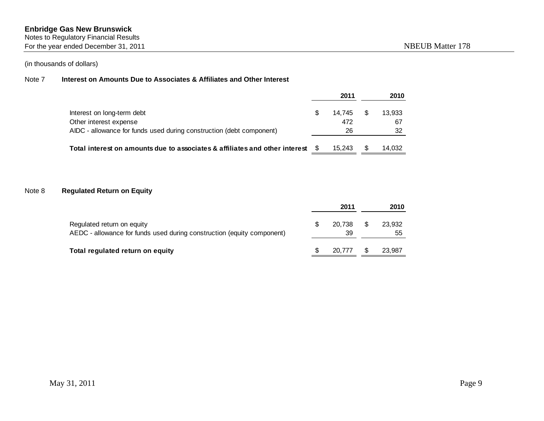Notes to Regulatory Financial Results

For the year ended December 31, 2011 and the state of the state of the NBEUB Matter 178

# (in thousands of dollars)

#### Note 7 **Interest on Amounts Due to Associates & Affiliates and Other Interest**

|                                                                                 | 2011   | 2010   |
|---------------------------------------------------------------------------------|--------|--------|
| Interest on long-term debt                                                      | 14.745 | 13.933 |
| Other interest expense                                                          | 472    | 67     |
| AIDC - allowance for funds used during construction (debt component)            | 26     | 32     |
| Total interest on amounts due to associates & affiliates and other interest $$$ | 15.243 | 14,032 |

# Note 8 **Regulated Return on Equity**

|                                                                                                      | 2011         |     | 2010         |
|------------------------------------------------------------------------------------------------------|--------------|-----|--------------|
| Regulated return on equity<br>AEDC - allowance for funds used during construction (equity component) | 20.738<br>39 | -S  | 23,932<br>55 |
| Total regulated return on equity                                                                     | 20.777       | -SS | 23.987       |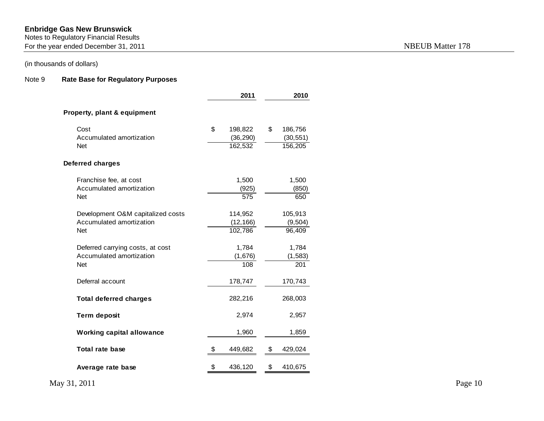#### Notes to Regulatory Financial Results

For the year ended December 31, 2011 and the state of the year ended December 31, 2011

# (in thousands of dollars)

# Note 9 **Rate Base for Regulatory Purposes**

|                                                                             | 2011                                  | 2010                                  |
|-----------------------------------------------------------------------------|---------------------------------------|---------------------------------------|
| <b>Property, plant &amp; equipment</b>                                      |                                       |                                       |
| Cost<br>Accumulated amortization<br><b>Net</b>                              | \$<br>198,822<br>(36, 290)<br>162,532 | \$<br>186,756<br>(30, 551)<br>156,205 |
| Deferred charges                                                            |                                       |                                       |
| Franchise fee, at cost<br>Accumulated amortization<br><b>Net</b>            | 1,500<br>(925)<br>575                 | 1,500<br>(850)<br>650                 |
| Development O&M capitalized costs<br>Accumulated amortization<br><b>Net</b> | 114,952<br>(12, 166)<br>102,786       | 105,913<br>(9, 504)<br>96,409         |
| Deferred carrying costs, at cost<br>Accumulated amortization<br><b>Net</b>  | 1,784<br>(1,676)<br>108               | 1,784<br>(1, 583)<br>201              |
| Deferral account                                                            | 178,747                               | 170,743                               |
| <b>Total deferred charges</b>                                               | 282,216                               | 268,003                               |
| <b>Term deposit</b>                                                         | 2,974                                 | 2,957                                 |
| <b>Working capital allowance</b>                                            | 1,960                                 | 1,859                                 |
| Total rate base                                                             | \$<br>449,682                         | \$<br>429,024                         |
| Average rate base                                                           | \$<br>436,120                         | \$<br>410,675                         |

May 31, 2011 Page 10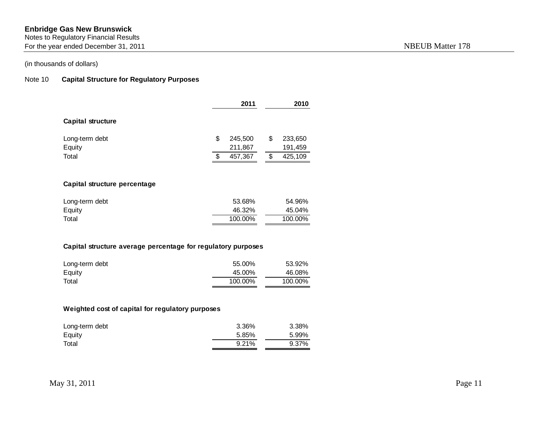Notes to Regulatory Financial Results

For the year ended December 31, 2011 and the state of the state of the NBEUB Matter 178

# (in thousands of dollars)

# Note 10 **Capital Structure for Regulatory Purposes**

|                          |   | 2011    | 2010 |         |  |
|--------------------------|---|---------|------|---------|--|
| <b>Capital structure</b> |   |         |      |         |  |
| Long-term debt           | S | 245,500 | \$   | 233,650 |  |
| Equity                   |   | 211,867 |      | 191,459 |  |
| Total                    | S | 457,367 | S    | 425,109 |  |

# **Capital structure percentage**

| Long-term debt | 53.68%  | 54.96%  |
|----------------|---------|---------|
| Equity         | 46.32%  | 45.04%  |
| Total          | 100.00% | 100.00% |

#### **Capital structure average percentage for regulatory purposes**

| Long-term debt | 55.00%  | 53.92%  |
|----------------|---------|---------|
| Equity         | 45.00%  | 46.08%  |
| Total          | 100.00% | 100.00% |

# **Weighted cost of capital for regulatory purposes**

| Long-term debt | 3.36% | 3.38% |
|----------------|-------|-------|
| Equity         | 5.85% | 5.99% |
| Total          | 9.21% | 9.37% |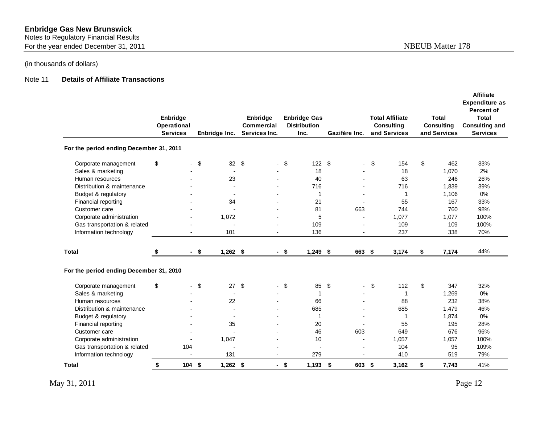Notes to Regulatory Financial Results

For the year ended December 31, 2011 and the state of the year ended December 31, 2011

# (in thousands of dollars)

#### Note 11 **Details of Affiliate Transactions**

|                                         | Enbridge<br>Operational<br><b>Services</b> |                | Enbridge Inc.            | Enbridge<br><b>Commercial</b><br>Services Inc. |        | <b>Enbridge Gas</b><br><b>Distribution</b><br>Inc. |     | Gazifère Inc.  | <b>Total Affiliate</b><br>Consulting<br>and Services | Total<br><b>Consulting</b><br>and Services | <b>Affiliate</b><br><b>Expenditure as</b><br><b>Percent of</b><br><b>Total</b><br><b>Consulting and</b><br><b>Services</b> |
|-----------------------------------------|--------------------------------------------|----------------|--------------------------|------------------------------------------------|--------|----------------------------------------------------|-----|----------------|------------------------------------------------------|--------------------------------------------|----------------------------------------------------------------------------------------------------------------------------|
| For the period ending December 31, 2011 |                                            |                |                          |                                                |        |                                                    |     |                |                                                      |                                            |                                                                                                                            |
| Corporate management                    | \$                                         | $\blacksquare$ | 32 $$$<br>\$             | $\overline{\phantom{0}}$                       | - \$   | 122S                                               |     | $\sim$         | \$<br>154                                            | \$<br>462                                  | 33%                                                                                                                        |
| Sales & marketing                       |                                            |                |                          |                                                |        | 18                                                 |     |                | 18                                                   | 1,070                                      | 2%                                                                                                                         |
| Human resources                         |                                            |                | 23                       |                                                |        | 40                                                 |     |                | 63                                                   | 246                                        | 26%                                                                                                                        |
| Distribution & maintenance              |                                            |                |                          |                                                |        | 716                                                |     |                | 716                                                  | 1,839                                      | 39%                                                                                                                        |
| Budget & regulatory                     |                                            |                |                          |                                                |        | -1                                                 |     |                | 1                                                    | 1,106                                      | 0%                                                                                                                         |
| Financial reporting                     |                                            |                | 34                       | $\overline{a}$                                 |        | 21                                                 |     |                | 55                                                   | 167                                        | 33%                                                                                                                        |
| Customer care                           |                                            |                | $\overline{a}$           | $\overline{a}$                                 |        | 81                                                 |     | 663            | 744                                                  | 760                                        | 98%                                                                                                                        |
| Corporate administration                |                                            |                | 1,072                    |                                                |        | 5                                                  |     | $\overline{a}$ | 1,077                                                | 1,077                                      | 100%                                                                                                                       |
| Gas transportation & related            |                                            |                |                          |                                                |        | 109                                                |     |                | 109                                                  | 109                                        | 100%                                                                                                                       |
| Information technology                  |                                            |                | 101                      |                                                |        | 136                                                |     |                | 237                                                  | 338                                        | 70%                                                                                                                        |
| <b>Total</b>                            | S                                          | - \$           | $1,262$ \$               |                                                | $-$ \$ | $1,249$ \$                                         |     | 663 \$         | 3,174                                                | \$<br>7,174                                | 44%                                                                                                                        |
| For the period ending December 31, 2010 |                                            |                |                          |                                                |        |                                                    |     |                |                                                      |                                            |                                                                                                                            |
| Corporate management                    | \$                                         | $\blacksquare$ | \$<br>27                 | - \$<br>$\blacksquare$                         | \$     | 85                                                 | \$  | $\sim$         | \$<br>112                                            | \$<br>347                                  | 32%                                                                                                                        |
| Sales & marketing                       |                                            |                | $\overline{\phantom{a}}$ |                                                |        | $\overline{\mathbf{1}}$                            |     |                | 1                                                    | 1,269                                      | 0%                                                                                                                         |
| Human resources                         |                                            |                | 22                       |                                                |        | 66                                                 |     |                | 88                                                   | 232                                        | 38%                                                                                                                        |
| Distribution & maintenance              |                                            |                |                          |                                                |        | 685                                                |     |                | 685                                                  | 1,479                                      | 46%                                                                                                                        |
| Budget & regulatory                     |                                            |                | $\overline{a}$           |                                                |        | $\overline{\mathbf{1}}$                            |     |                | $\mathbf 1$                                          | 1,874                                      | 0%                                                                                                                         |
| Financial reporting                     |                                            |                | 35                       |                                                |        | 20                                                 |     |                | 55                                                   | 195                                        | 28%                                                                                                                        |
| Customer care                           |                                            |                |                          |                                                |        | 46                                                 |     | 603            | 649                                                  | 676                                        | 96%                                                                                                                        |
| Corporate administration                |                                            |                | 1,047                    |                                                |        | 10                                                 |     |                | 1,057                                                | 1,057                                      | 100%                                                                                                                       |
| Gas transportation & related            | 104                                        |                |                          |                                                |        |                                                    |     |                | 104                                                  | 95                                         | 109%                                                                                                                       |
| Information technology                  |                                            |                | 131                      |                                                |        | 279                                                |     |                | 410                                                  | 519                                        | 79%                                                                                                                        |
| Total                                   | \$                                         | 104            | \$<br>$1,262$ \$         |                                                | $-5$   | 1,193                                              | -\$ | 603 \$         | 3,162                                                | \$<br>7,743                                | 41%                                                                                                                        |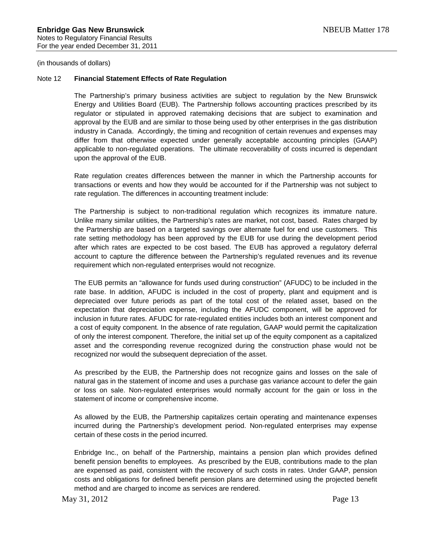#### Note 12 **Financial Statement Effects of Rate Regulation**

The Partnership's primary business activities are subject to regulation by the New Brunswick Energy and Utilities Board (EUB). The Partnership follows accounting practices prescribed by its regulator or stipulated in approved ratemaking decisions that are subject to examination and approval by the EUB and are similar to those being used by other enterprises in the gas distribution industry in Canada. Accordingly, the timing and recognition of certain revenues and expenses may differ from that otherwise expected under generally acceptable accounting principles (GAAP) applicable to non-regulated operations. The ultimate recoverability of costs incurred is dependant upon the approval of the EUB.

Rate regulation creates differences between the manner in which the Partnership accounts for transactions or events and how they would be accounted for if the Partnership was not subject to rate regulation. The differences in accounting treatment include:

The Partnership is subject to non-traditional regulation which recognizes its immature nature. Unlike many similar utilities, the Partnership's rates are market, not cost, based. Rates charged by the Partnership are based on a targeted savings over alternate fuel for end use customers. This rate setting methodology has been approved by the EUB for use during the development period after which rates are expected to be cost based. The EUB has approved a regulatory deferral account to capture the difference between the Partnership's regulated revenues and its revenue requirement which non-regulated enterprises would not recognize.

The EUB permits an "allowance for funds used during construction" (AFUDC) to be included in the rate base. In addition, AFUDC is included in the cost of property, plant and equipment and is depreciated over future periods as part of the total cost of the related asset, based on the expectation that depreciation expense, including the AFUDC component, will be approved for inclusion in future rates. AFUDC for rate-regulated entities includes both an interest component and a cost of equity component. In the absence of rate regulation, GAAP would permit the capitalization of only the interest component. Therefore, the initial set up of the equity component as a capitalized asset and the corresponding revenue recognized during the construction phase would not be recognized nor would the subsequent depreciation of the asset.

As prescribed by the EUB, the Partnership does not recognize gains and losses on the sale of natural gas in the statement of income and uses a purchase gas variance account to defer the gain or loss on sale. Non-regulated enterprises would normally account for the gain or loss in the statement of income or comprehensive income.

As allowed by the EUB, the Partnership capitalizes certain operating and maintenance expenses incurred during the Partnership's development period. Non-regulated enterprises may expense certain of these costs in the period incurred.

Enbridge Inc., on behalf of the Partnership, maintains a pension plan which provides defined benefit pension benefits to employees. As prescribed by the EUB, contributions made to the plan are expensed as paid, consistent with the recovery of such costs in rates. Under GAAP, pension costs and obligations for defined benefit pension plans are determined using the projected benefit method and are charged to income as services are rendered.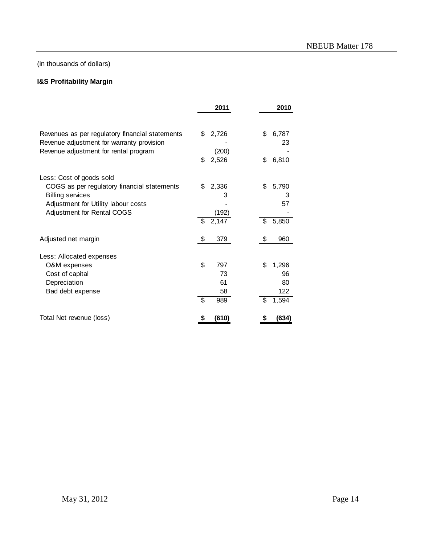# **I&S Profitability Margin**

|                                                                                              | 2011                            | 2010              |
|----------------------------------------------------------------------------------------------|---------------------------------|-------------------|
| Revenues as per regulatory financial statements<br>Revenue adjustment for warranty provision | \$<br>2,726                     | \$<br>6,787<br>23 |
| Revenue adjustment for rental program                                                        | (200)<br>2,526<br>\$            | \$<br>6,810       |
| Less: Cost of goods sold                                                                     |                                 |                   |
| COGS as per regulatory financial statements                                                  | 2,336<br>\$                     | \$<br>5,790       |
| <b>Billing services</b>                                                                      | 3                               | 3                 |
| Adjustment for Utility labour costs                                                          |                                 | 57                |
| Adjustment for Rental COGS                                                                   | (192)                           |                   |
|                                                                                              | 2,147<br>\$                     | \$<br>5,850       |
| Adjusted net margin                                                                          | \$<br>379                       | \$<br>960         |
| Less: Allocated expenses                                                                     |                                 |                   |
| O&M expenses                                                                                 | \$<br>797                       | \$<br>1,296       |
| Cost of capital                                                                              | 73                              | 96                |
| Depreciation                                                                                 | 61                              | 80                |
| Bad debt expense                                                                             | 58                              | 122               |
|                                                                                              | $\overline{\mathcal{S}}$<br>989 | \$<br>1,594       |
| Total Net revenue (loss)                                                                     | (610)                           | (634)             |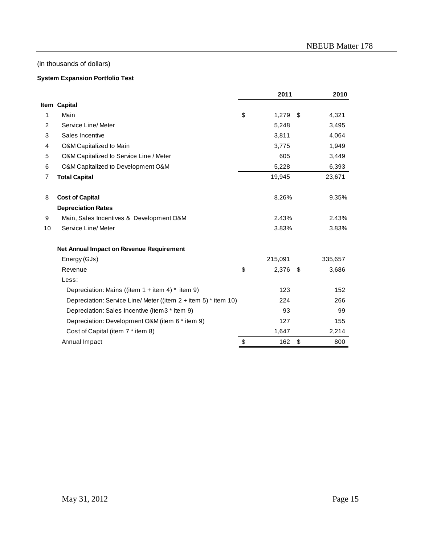#### **System Expansion Portfolio Test**

|                |                                                                  | 2011           | 2010        |
|----------------|------------------------------------------------------------------|----------------|-------------|
|                | Item Capital                                                     |                |             |
| 1              | Main                                                             | \$<br>1,279    | \$<br>4,321 |
| $\overline{2}$ | Service Line/Meter                                               | 5,248          | 3,495       |
| 3              | Sales Incentive                                                  | 3,811          | 4,064       |
| 4              | O&M Capitalized to Main                                          | 3,775          | 1,949       |
| 5              | O&M Capitalized to Service Line / Meter                          | 605            | 3,449       |
| 6              | O&M Capitalized to Development O&M                               | 5,228          | 6,393       |
| 7              | <b>Total Capital</b>                                             | 19,945         | 23,671      |
| 8              | <b>Cost of Capital</b>                                           | 8.26%          | 9.35%       |
|                | <b>Depreciation Rates</b>                                        |                |             |
| 9              | Main, Sales Incentives & Development O&M                         | 2.43%          | 2.43%       |
| 10             | Service Line/Meter                                               | 3.83%          | 3.83%       |
|                | Net Annual Impact on Revenue Requirement                         |                |             |
|                | Energy (GJs)                                                     | 215,091        | 335,657     |
|                | Revenue                                                          | \$<br>2,376 \$ | 3,686       |
|                | Less:                                                            |                |             |
|                | Depreciation: Mains ((item $1 +$ item $4$ ) * item 9)            | 123            | 152         |
|                | Depreciation: Service Line/Meter ((item $2 +$ item 5) * item 10) | 224            | 266         |
|                | Depreciation: Sales Incentive (item3 * item 9)                   | 93             | 99          |
|                | Depreciation: Development O&M (item 6 * item 9)                  | 127            | 155         |
|                | Cost of Capital (item 7 * item 8)                                | 1,647          | 2,214       |
|                | Annual Impact                                                    | \$<br>162      | \$<br>800   |
|                |                                                                  |                |             |